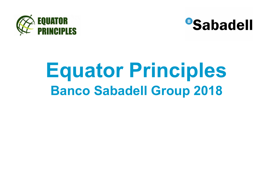



## **Equator PrinciplesBanco Sabadell Group 2018**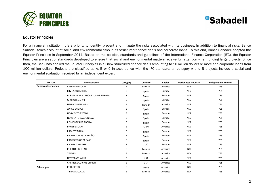



## Equator Principles\_\_\_\_\_Principles\_\_\_\_\_\_\_\_\_\_\_\_\_\_\_\_\_\_\_\_ \_\_\_\_\_\_\_\_\_\_\_\_\_\_\_\_\_\_\_\_\_\_\_\_\_\_\_\_\_\_\_\_\_ \_\_\_\_\_\_\_\_\_\_\_\_\_\_\_\_\_\_\_\_\_\_\_\_\_\_\_\_\_\_\_\_\_\_\_\_\_\_\_\_\_\_\_\_\_\_\_\_\_\_\_\_\_\_\_\_\_\_\_\_\_\_\_\_\_\_\_\_\_ \_\_\_\_\_\_\_\_\_\_\_\_\_\_\_\_\_\_\_\_\_\_\_\_\_\_\_\_\_\_\_\_\_\_\_\_\_\_\_\_\_\_\_\_\_\_\_\_\_\_\_\_\_\_\_\_\_\_\_\_\_\_\_\_\_ \_\_\_\_\_\_\_\_\_\_\_\_\_\_

For a financial institution, it is a priority to identify, prevent and mitigate the risks associated with its business. In addition to financial risks, Banco Sabadell takes account of social and environmental risks in its structured finance deals and corporate loans. To this end, Banco Sabadell adopted the Equator Principles in September 2011. Based on the policies, standards and guidelines of the International Finance Corporation (IFC), the Equator Principles are a set of standards developed to ensure that social and environmental matters receive full attention when funding large projects. Since then, the Bank has applied the Equator Principles in all new structured finance deals amounting to 10 million dollars or more and corporate loans from 100 million dollars. Projects are classified as A, B or C in accordance with the IFC standard; all category A and B projects include a social and environmental evaluation received by an independent expert.

| <b>SECTOR</b>             | <b>Project Name</b>               | Category | Country    | Region  | <b>Designated Country</b> | <b>Independent Review</b> |
|---------------------------|-----------------------------------|----------|------------|---------|---------------------------|---------------------------|
| <b>Renewable energies</b> | <b>CANADIAN SOLAR</b>             | B        | Mexico     | America | <b>NO</b>                 | YES                       |
|                           | FRV LA SOLANILLA                  | B        | Spain      | Europe  | <b>YES</b>                | <b>YES</b>                |
|                           | FUERZAS ENERGETICAS SUR DE EUROPA | B        | Spain      | Europe  | YES                       | YES                       |
|                           | <b>GRUPOTEC SPV I</b>             | B        | Spain      | Europe  | YES                       | <b>YES</b>                |
|                           | <b>HENVEY INTEL WIND</b>          | B        | Canada     | America | <b>YES</b>                | <b>YES</b>                |
|                           | <b>JORGE ENERGY</b>               | B        | Spain      | Europe  | <b>YES</b>                | <b>YES</b>                |
|                           | NORVENTO ESTELO                   | B        | Spain      | Europe  | <b>YES</b>                | <b>YES</b>                |
|                           | NORVENTO SASDONIGAS               | B        | Spain      | Europe  | YES                       | YES                       |
|                           | PE MONTES DE ABELLA               | B        | Spain      | Europe  | YES                       | <b>YES</b>                |
|                           | PHOEBE SOLAR                      | B        | <b>USA</b> | America | YES                       | YES                       |
|                           | PROJECT MULA                      | В        | Spain      | Europe  | <b>YES</b>                | <b>YES</b>                |
|                           | PROYECTO CASTRONUÑO               | B        | Spain      | Europe  | YES                       | YES                       |
|                           | PROYECTO GOYA FASE I              | B        | Spain      | Europe  | <b>YES</b>                | <b>YES</b>                |
|                           | PROYECTO MERLE                    | B        | UK         | Europe  | YES                       | YES                       |
|                           | <b>PUERTO LIBERTAD</b>            | B        | Mexico     | America | <b>NO</b>                 | <b>YES</b>                |
|                           | TIZIMIN                           | B        | Mexico     | America | <b>NO</b>                 | YES                       |
|                           | <b>UPSTREAM WIND</b>              | B        | <b>USA</b> | America | YES                       | YES                       |
|                           | <b>CHENIERE CORPUS CHRISTI</b>    | B        | <b>USA</b> | America | <b>YES</b>                | YES                       |
| Oil and gas               | PETROPERÚ                         | B        | Peru       | America | <b>NO</b>                 | YES                       |
|                           | TIERRA MOJADA                     | B        | Mexico     | America | <b>NO</b>                 | <b>YES</b>                |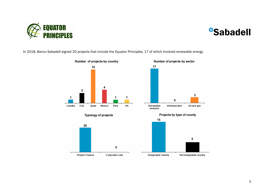

## **BSabadell**

In 2018, Banco Sabadell signed 20 projects that include the Equator Principles, 17 of which involved renewable energy.